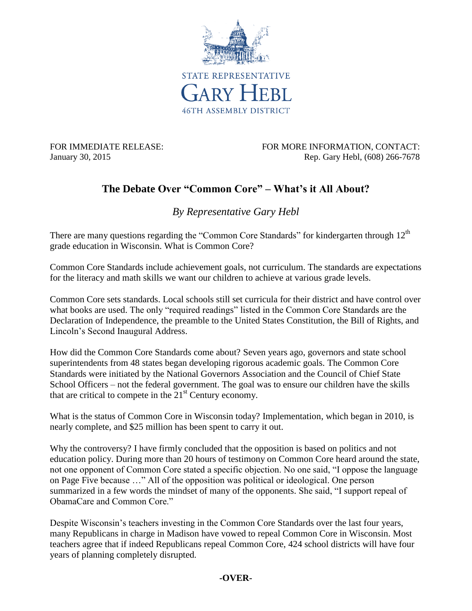

FOR IMMEDIATE RELEASE: FOR MORE INFORMATION, CONTACT: January 30, 2015 **Rep. Gary Hebl, (608) 266-7678** 

## **The Debate Over "Common Core" – What's it All About?**

*By Representative Gary Hebl*

There are many questions regarding the "Common Core Standards" for kindergarten through  $12<sup>th</sup>$ grade education in Wisconsin. What is Common Core?

Common Core Standards include achievement goals, not curriculum. The standards are expectations for the literacy and math skills we want our children to achieve at various grade levels.

Common Core sets standards. Local schools still set curricula for their district and have control over what books are used. The only "required readings" listed in the Common Core Standards are the Declaration of Independence, the preamble to the United States Constitution, the Bill of Rights, and Lincoln's Second Inaugural Address.

How did the Common Core Standards come about? Seven years ago, governors and state school superintendents from 48 states began developing rigorous academic goals. The Common Core Standards were initiated by the National Governors Association and the Council of Chief State School Officers – not the federal government. The goal was to ensure our children have the skills that are critical to compete in the  $21<sup>st</sup>$  Century economy.

What is the status of Common Core in Wisconsin today? Implementation, which began in 2010, is nearly complete, and \$25 million has been spent to carry it out.

Why the controversy? I have firmly concluded that the opposition is based on politics and not education policy. During more than 20 hours of testimony on Common Core heard around the state, not one opponent of Common Core stated a specific objection. No one said, "I oppose the language on Page Five because …" All of the opposition was political or ideological. One person summarized in a few words the mindset of many of the opponents. She said, "I support repeal of ObamaCare and Common Core."

Despite Wisconsin's teachers investing in the Common Core Standards over the last four years, many Republicans in charge in Madison have vowed to repeal Common Core in Wisconsin. Most teachers agree that if indeed Republicans repeal Common Core, 424 school districts will have four years of planning completely disrupted.